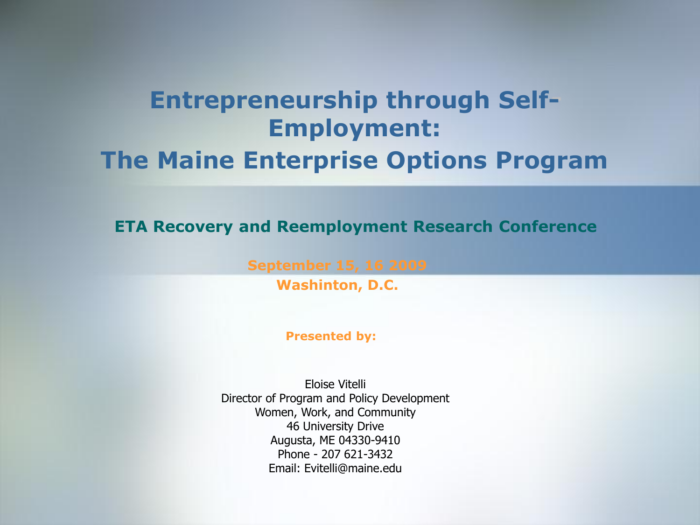## **Entrepreneurship through Self-Employment: The Maine Enterprise Options Program**

**ETA Recovery and Reemployment Research Conference** 

**September 15, 16 2009 Washinton, D.C.** 

**Presented by:** 

Eloise Vitelli Director of Program and Policy Development Women, Work, and Community 46 University Drive Augusta, ME 04330-9410 Phone - 207 621-3432 Email: Evitelli@maine.edu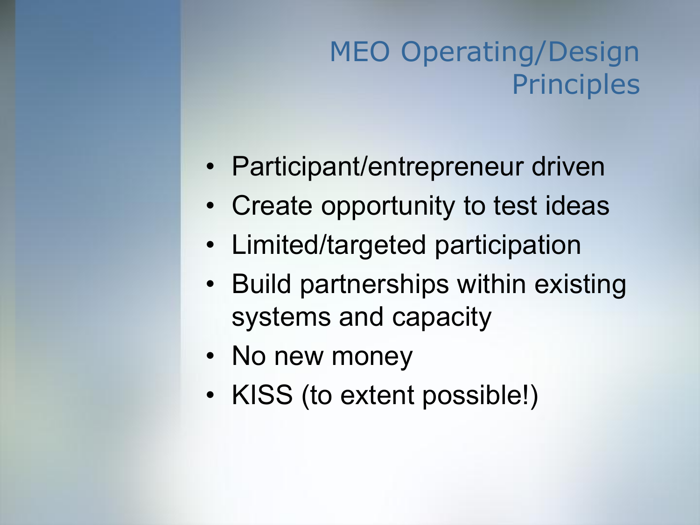# MEO Operating/Design **Principles**

- Participant/entrepreneur driven
- Create opportunity to test ideas
- Limited/targeted participation
- Build partnerships within existing systems and capacity
- No new money
- KISS (to extent possible!)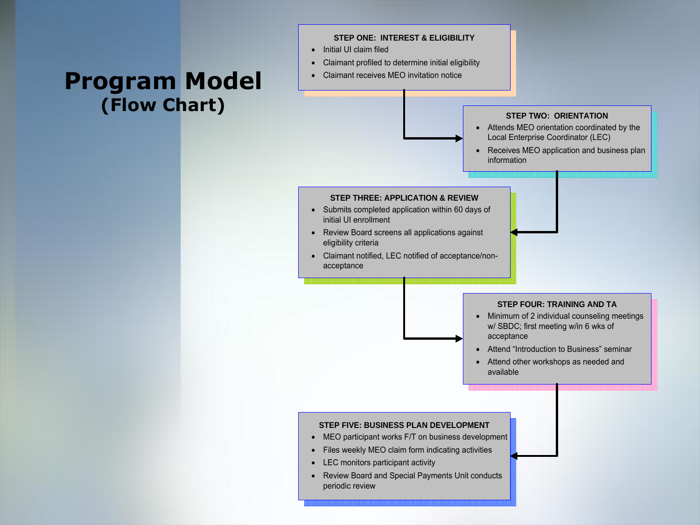#### **Program Model (Flow Chart)**

#### **STEP ONE: INTEREST & ELIGIBILITY**

- Initial UI claim filed
- · Claimant profiled to determine initial eligibility
- · Claimant receives MEO invitation notice

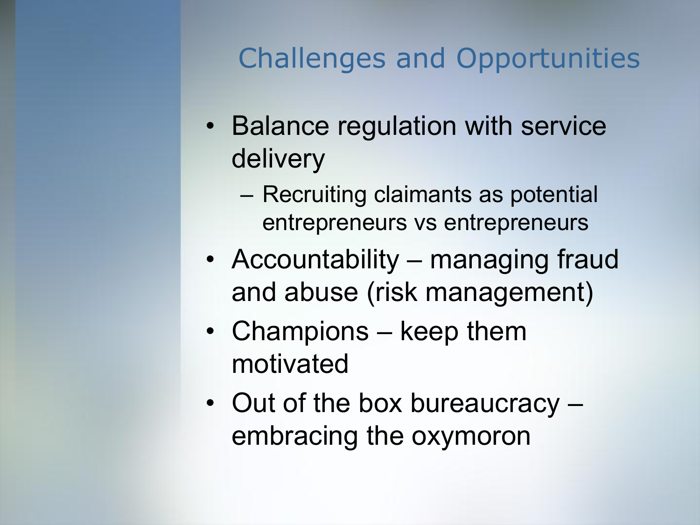# Challenges and Opportunities

- Balance regulation with service delivery
	- Recruiting claimants as potential entrepreneurs vs entrepreneurs
- Accountability managing fraud and abuse (risk management)
- Champions keep them motivated
- Out of the box bureaucracy embracing the oxymoron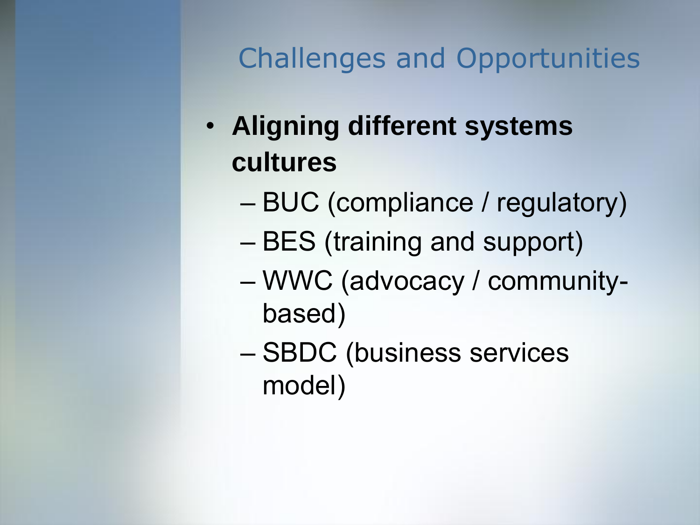# Challenges and Opportunities

- **Aligning different systems cultures**
	- BUC (compliance / regulatory)
	- BES (training and support)
	- WWC (advocacy / communitybased)
	- SBDC (business services model)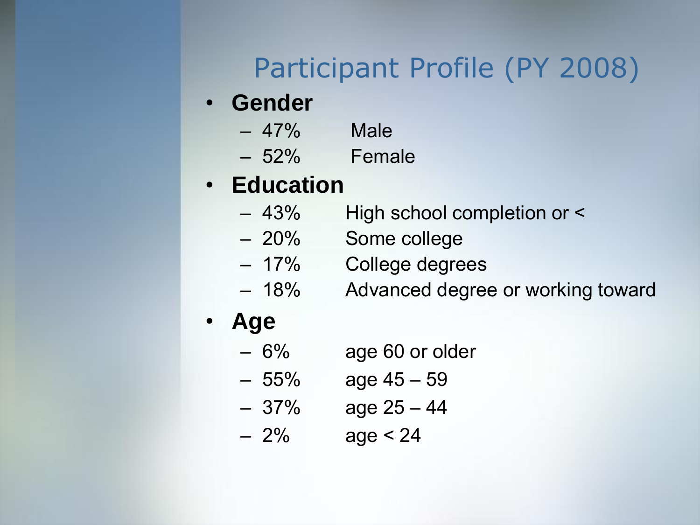# Participant Profile (PY 2008)

### **Gender**  •

- 47% Male
- 52% Female

#### • **Education**

- 43% High school completion or <
- 20% Some college
- 17% College degrees
- 18% Advanced degree or working toward

## • **Age**

- 6% age 60 or older
- $-55\%$  age  $45-59$
- $-37\%$  age  $25-44$
- $-2\%$  age < 24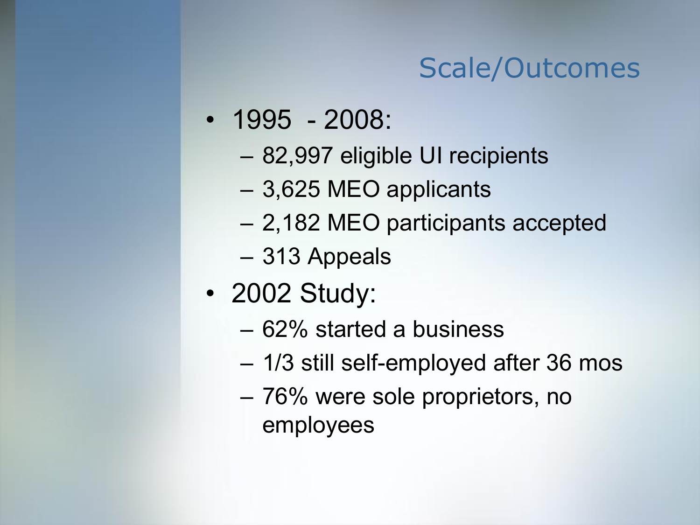## Scale/Outcomes

- 1995 2008:
	- 82,997 eligible UI recipients
	- 3,625 MEO applicants
	- 2,182 MEO participants accepted
	- 313 Appeals
- 2002 Study:
	- 62% started a business
	- 1/3 still self-employed after 36 mos
	- 76% were sole proprietors, no employees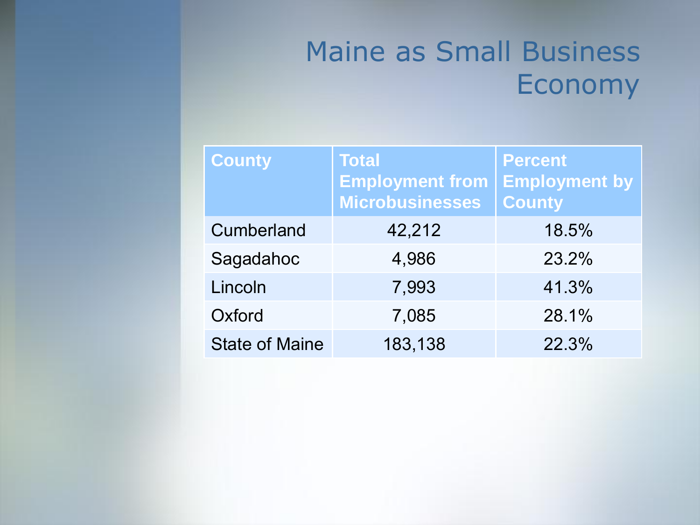# Maine as Small Business Economy

| <b>County</b>         | <b>Total</b><br><b>Employment from</b><br>Microbusinesses | <b>Percent</b><br><b>Employment by</b><br><b>County</b> |
|-----------------------|-----------------------------------------------------------|---------------------------------------------------------|
| <b>Cumberland</b>     | 42,212                                                    | 18.5%                                                   |
| Sagadahoc             | 4,986                                                     | 23.2%                                                   |
| Lincoln               | 7.993                                                     | 41.3%                                                   |
| Oxford                | 7,085                                                     | 28.1%                                                   |
| <b>State of Maine</b> | 183,138                                                   | 22.3%                                                   |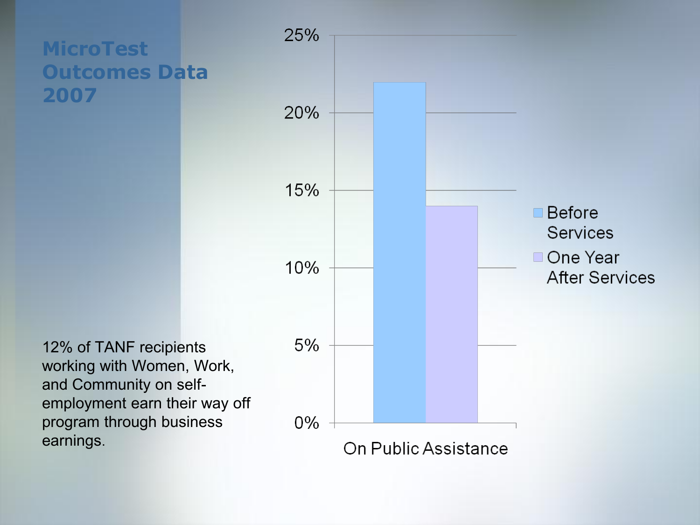#### **MicroTest Outcomes Data 2007**

12% of TANF recipients working with Women, Work, and Community on selfemployment earn their way off program through business earnings.